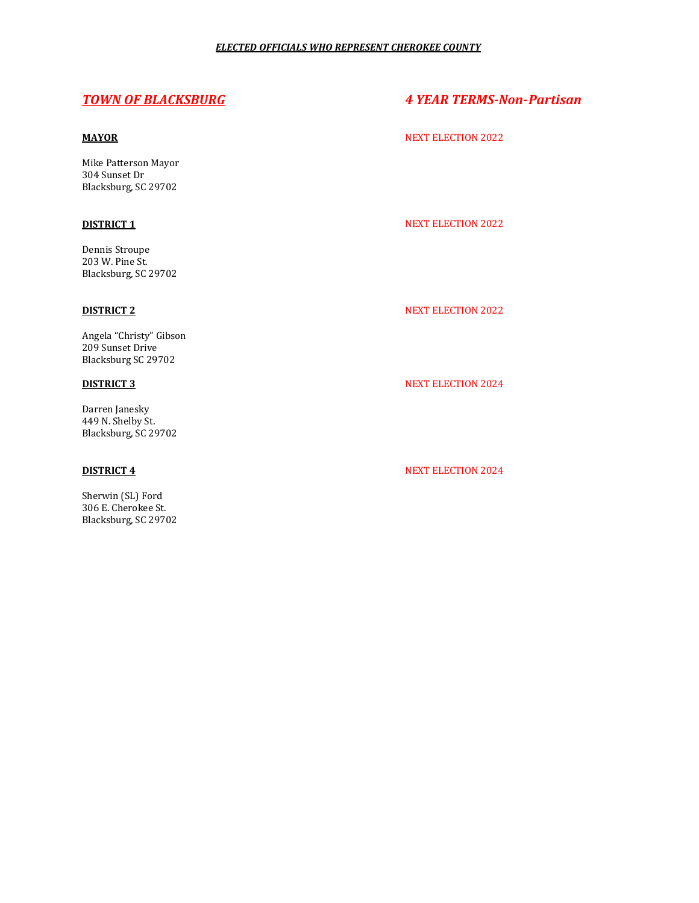Mike Patterson Mayor 304 Sunset Dr Blacksburg, SC 29702

Dennis Stroupe 203 W. Pine St. Blacksburg, SC 29702

Angela "Christy" Gibson 209 Sunset Drive Blacksburg SC 29702

Darren Janesky 449 N. Shelby St. Blacksburg, SC 29702

Sherwin (SL) Ford 306 E. Cherokee St. Blacksburg, SC 29702

# *TOWN OF BLACKSBURG 4 YEAR TERMS-Non-Partisan*

# **MAYOR** NEXT ELECTION 2022

# **DISTRICT 1** NEXT ELECTION 2022

# **DISTRICT 2** NEXT ELECTION 2022

# **DISTRICT 3** NEXT ELECTION 2024

# **DISTRICT 4** NEXT ELECTION 2024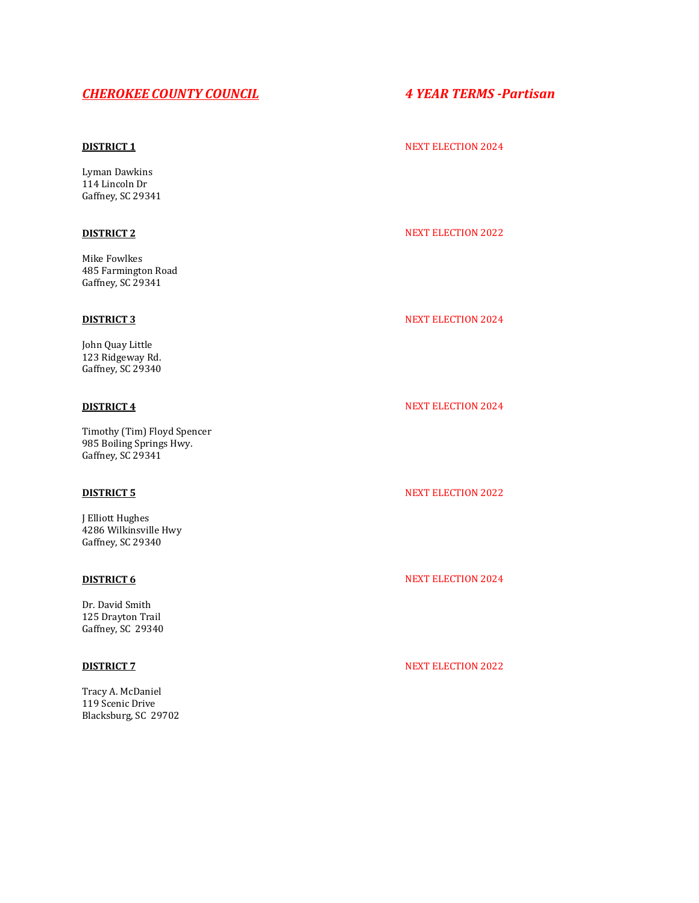# *CHEROKEE COUNTY COUNCIL 4 YEAR TERMS -Partisan*

Lyman Dawkins 114 Lincoln Dr Gaffney, SC 29341

Mike Fowlkes 485 Farmington Road Gaffney, SC 29341

John Quay Little 123 Ridgeway Rd. Gaffney, SC 29340

Timothy (Tim) Floyd Spencer 985 Boiling Springs Hwy. Gaffney, SC 29341

J Elliott Hughes 4286 Wilkinsville Hwy Gaffney, SC 29340

Dr. David Smith 125 Drayton Trail Gaffney, SC 29340

Tracy A. McDaniel 119 Scenic Drive Blacksburg, SC 29702

### **DISTRICT 1** NEXT ELECTION 2024

# **DISTRICT 2** NEXT ELECTION 2022

### **DISTRICT 3** NEXT ELECTION 2024

### **DISTRICT 4** NEXT ELECTION 2024

### **DISTRICT 5** NEXT ELECTION 2022

# **DISTRICT 6** NEXT ELECTION 2024

### **DISTRICT 7** NEXT ELECTION 2022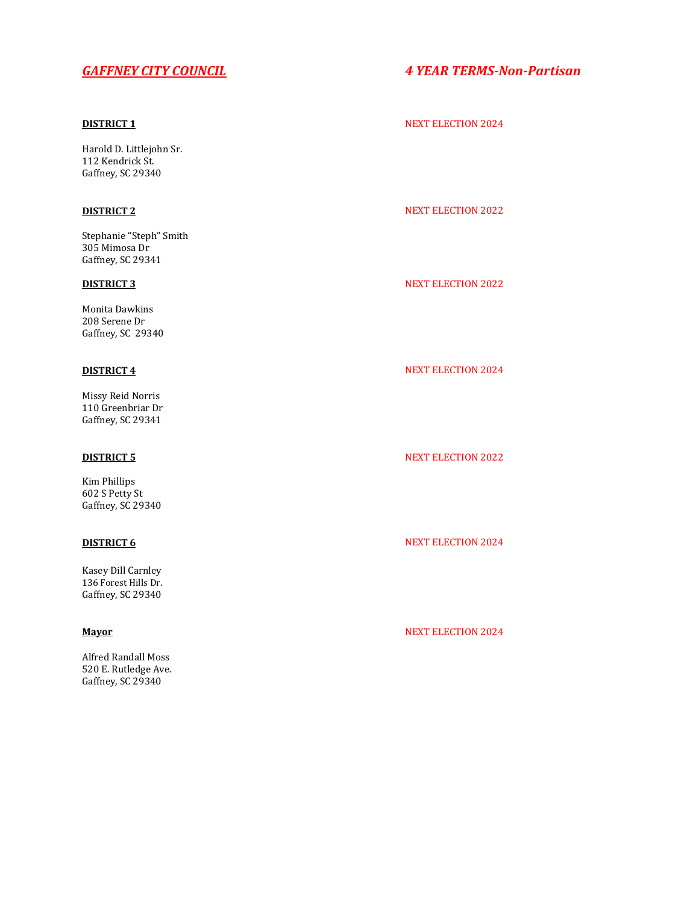Harold D. Littlejohn Sr. 112 Kendrick St. Gaffney, SC 29340

Stephanie "Steph" Smith 305 Mimosa Dr Gaffney, SC 29341

Monita Dawkins 208 Serene Dr Gaffney, SC 29340

Missy Reid Norris 110 Greenbriar Dr Gaffney, SC 29341

Kim Phillips 602 S Petty St Gaffney, SC 29340

Kasey Dill Carnley 136 Forest Hills Dr. Gaffney, SC 29340

Alfred Randall Moss 520 E. Rutledge Ave. Gaffney, SC 29340

# *GAFFNEY CITY COUNCIL 4 YEAR TERMS-Non-Partisan*

### **DISTRICT 1** NEXT ELECTION 2024

## **DISTRICT 2** NEXT ELECTION 2022

# **DISTRICT 3** NEXT ELECTION 2022

## **DISTRICT 4** NEXT ELECTION 2024

## **DISTRICT 5** NEXT ELECTION 2022

## **DISTRICT 6** NEXT ELECTION 2024

### **Mayor** NEXT ELECTION 2024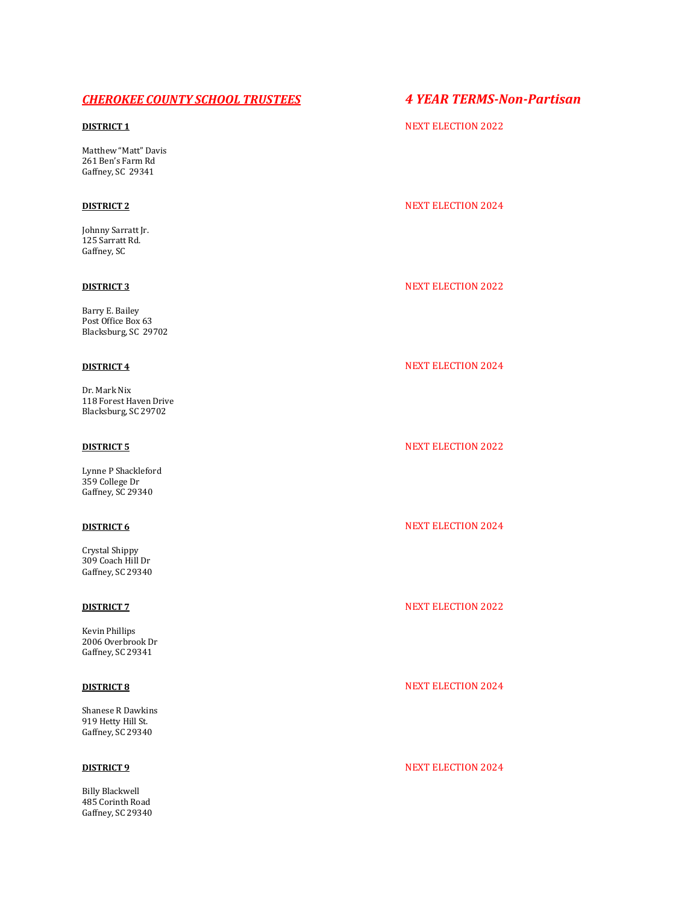# *CHEROKEE COUNTY SCHOOL TRUSTEES 4 YEAR TERMS-Non-Partisan*

Matthew "Matt" Davis 261 Ben's Farm Rd Gaffney, SC 29341

Johnny Sarratt Jr. 125 Sarratt Rd. Gaffney, SC

Barry E. Bailey Post Office Box 63 Blacksburg, SC 29702

Dr. Mark Nix 118 Forest Haven Drive Blacksburg, SC 29702

Lynne P Shackleford 359 College Dr Gaffney, SC 29340

Crystal Shippy 309 Coach Hill Dr Gaffney, SC 29340

Kevin Phillips 2006 Overbrook Dr Gaffney, SC 29341

Shanese R Dawkins 919 Hetty Hill St. Gaffney, SC 29340

Billy Blackwell 485 Corinth Road Gaffney, SC 29340

# **DISTRICT 1** NEXT ELECTION 2022

# **DISTRICT 2** NEXT ELECTION 2024

### **DISTRICT 3** NEXT ELECTION 2022

# **DISTRICT 4** NEXT ELECTION 2024

# **DISTRICT 5** NEXT ELECTION 2022

# **DISTRICT 6** NEXT ELECTION 2024

### **DISTRICT 7** NEXT ELECTION 2022

### **DISTRICT 8** NEXT ELECTION 2024

## **DISTRICT 9** NEXT ELECTION 2024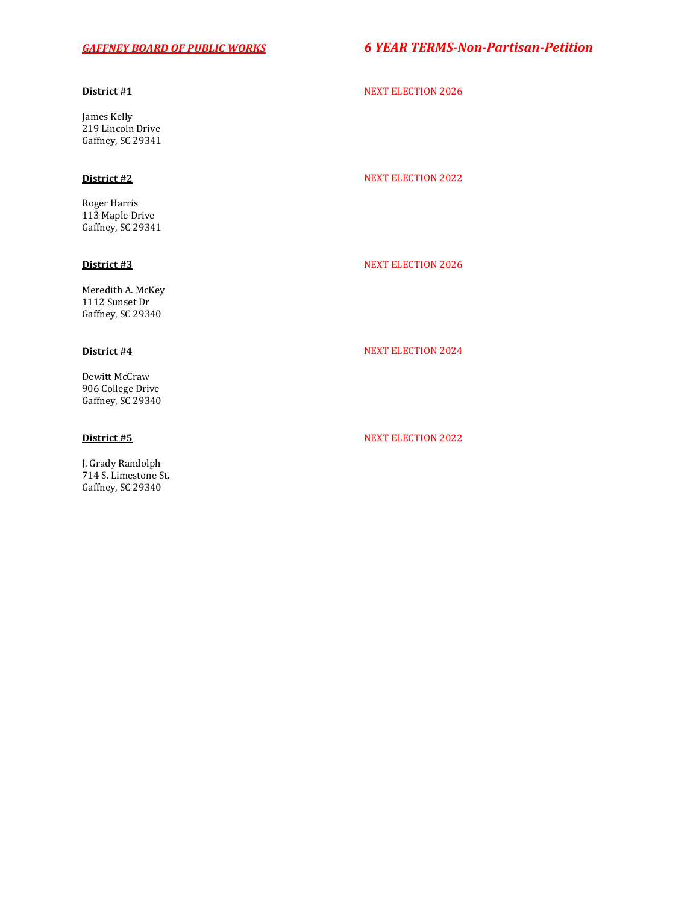# *GAFFNEY BOARD OF PUBLIC WORKS 6 YEAR TERMS-Non-Partisan-Petition*

James Kelly 219 Lincoln Drive Gaffney, SC 29341

Roger Harris 113 Maple Drive Gaffney, SC 29341

Meredith A. McKey 1112 Sunset Dr Gaffney, SC 29340

Dewitt McCraw 906 College Drive Gaffney, SC 29340

J. Grady Randolph 714 S. Limestone St. Gaffney, SC 29340

# **District #1** NEXT ELECTION 2026

### **District #2** NEXT ELECTION 2022

### **District #3** NEXT ELECTION 2026

# **District #4** NEXT ELECTION 2024

### **District #5** NEXT ELECTION 2022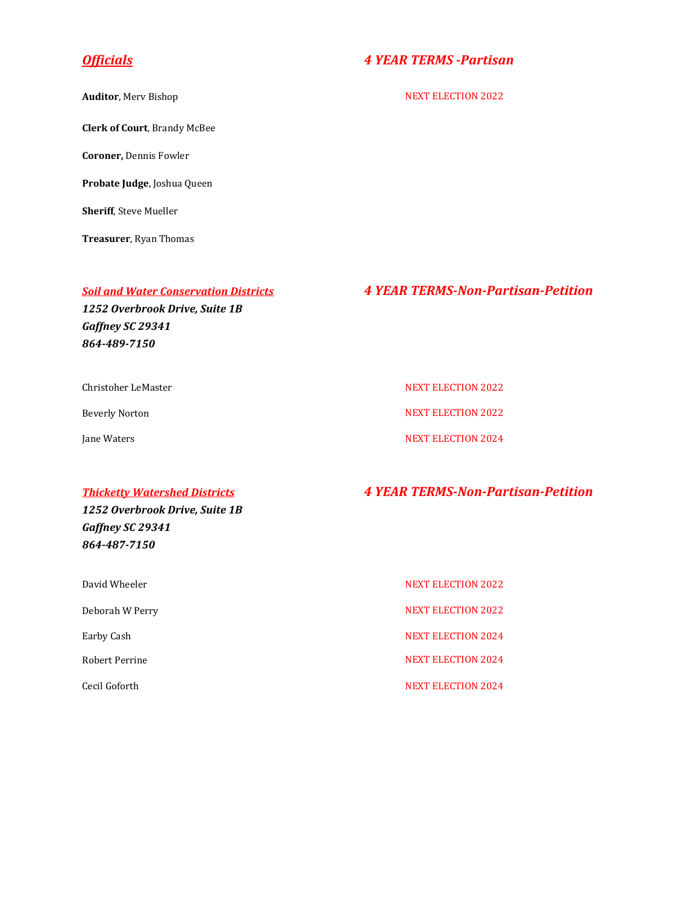**Clerk of Court**, Brandy McBee

**Coroner,** Dennis Fowler

**Probate Judge**, Joshua Queen

**Sheriff**, Steve Mueller

**Treasurer**, Ryan Thomas

# *Officials 4 YEAR TERMS -Partisan*

**Auditor**, Merv Bishop NEXT ELECTION 2022

# *Soil and Water Conservation Districts 4 YEAR TERMS-Non-Partisan-Petition*

*1252 Overbrook Drive, Suite 1B Gaffney SC 29341 864-489-7150*

Christoher LeMaster New York 1999 (NEXT ELECTION 2022

Beverly Norton NEXT ELECTION 2022

Jane Waters NEXT ELECTION 2024

# *Thicketty Watershed Districts 4 YEAR TERMS-Non-Partisan-Petition*

*1252 Overbrook Drive, Suite 1B Gaffney SC 29341 864-487-7150*

| David Wheeler   | <b>NEXT ELECTION 2022</b> |
|-----------------|---------------------------|
| Deborah W Perry | <b>NEXT ELECTION 2022</b> |
| Earby Cash      | <b>NEXT ELECTION 2024</b> |
| Robert Perrine  | <b>NEXT ELECTION 2024</b> |
| Cecil Goforth   | <b>NEXT ELECTION 2024</b> |